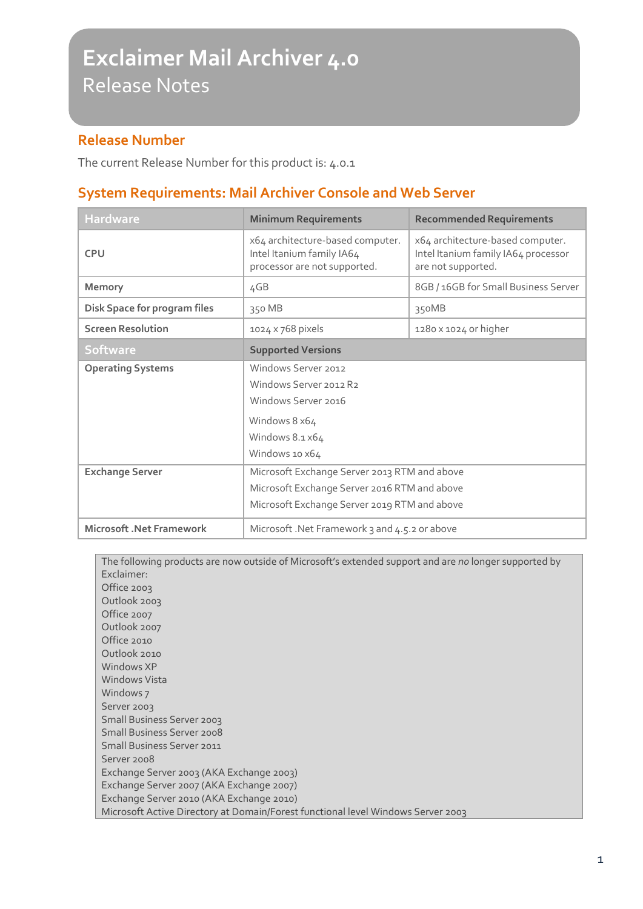#### **Release Number**

The current Release Number for this product is: 4.0.1

# **System Requirements: Mail Archiver Console and Web Server**

| <b>Hardware</b>                 | <b>Minimum Requirements</b>                                                                   | <b>Recommended Requirements</b>                                                               |
|---------------------------------|-----------------------------------------------------------------------------------------------|-----------------------------------------------------------------------------------------------|
| <b>CPU</b>                      | x64 architecture-based computer.<br>Intel Itanium family IA64<br>processor are not supported. | x64 architecture-based computer.<br>Intel Itanium family IA64 processor<br>are not supported. |
| Memory                          | 4GB                                                                                           | 8GB / 16GB for Small Business Server                                                          |
| Disk Space for program files    | 350 MB                                                                                        | 350MB                                                                                         |
| <b>Screen Resolution</b>        | 1024 x 768 pixels                                                                             | 1280 x 1024 or higher                                                                         |
| <b>Software</b>                 | <b>Supported Versions</b>                                                                     |                                                                                               |
| <b>Operating Systems</b>        | Windows Server 2012                                                                           |                                                                                               |
|                                 | Windows Server 2012 R2                                                                        |                                                                                               |
|                                 | Windows Server 2016                                                                           |                                                                                               |
|                                 | Windows 8 x64                                                                                 |                                                                                               |
|                                 | Windows 8.1 x64                                                                               |                                                                                               |
|                                 | Windows 10 x64                                                                                |                                                                                               |
| <b>Exchange Server</b>          | Microsoft Exchange Server 2013 RTM and above                                                  |                                                                                               |
|                                 | Microsoft Exchange Server 2016 RTM and above                                                  |                                                                                               |
|                                 | Microsoft Exchange Server 2019 RTM and above                                                  |                                                                                               |
| <b>Microsoft .Net Framework</b> | Microsoft .Net Framework 3 and 4.5.2 or above                                                 |                                                                                               |

| The following products are now outside of Microsoft's extended support and are no longer supported by |
|-------------------------------------------------------------------------------------------------------|
|                                                                                                       |
| Exclaimer:                                                                                            |
| Office 2003                                                                                           |
| Outlook 2003                                                                                          |
| Office 2007                                                                                           |
| Outlook 2007                                                                                          |
| Office 2010                                                                                           |
| Outlook 2010                                                                                          |
| Windows XP                                                                                            |
| Windows Vista                                                                                         |
| Windows 7                                                                                             |
| Server 2003                                                                                           |
| Small Business Server 2003                                                                            |
| <b>Small Business Server 2008</b>                                                                     |
| Small Business Server 2011                                                                            |
| Server 2008                                                                                           |
| Exchange Server 2003 (AKA Exchange 2003)                                                              |
| Exchange Server 2007 (AKA Exchange 2007)                                                              |
| Exchange Server 2010 (AKA Exchange 2010)                                                              |
| Microsoft Active Directory at Domain/Forest functional level Windows Server 2003                      |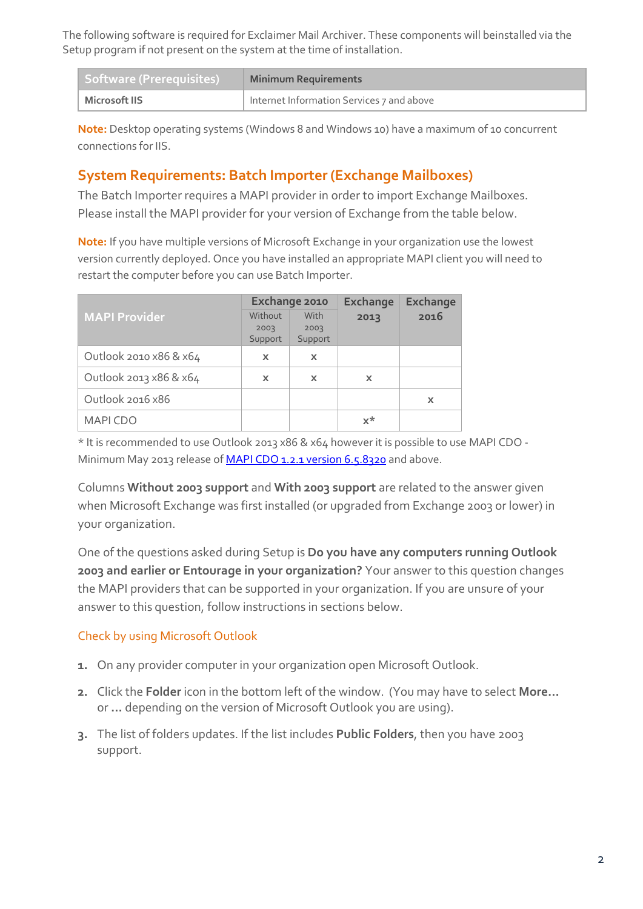The following software is required for Exclaimer Mail Archiver. These components will beinstalled via the Setup program if not present on the system at the time of installation.

| Software (Prerequisites) | <b>Minimum Requirements</b>               |
|--------------------------|-------------------------------------------|
| Microsoft IIS            | Internet Information Services 7 and above |

**Note:** Desktop operating systems (Windows 8 and Windows 10) have a maximum of 10 concurrent connections for IIS.

### **System Requirements: Batch Importer (Exchange Mailboxes)**

The Batch Importer requires a MAPI provider in order to import Exchange Mailboxes. Please install the MAPI provider for your version of Exchange from the table below.

**Note:** If you have multiple versions of Microsoft Exchange in your organization use the lowest version currently deployed. Once you have installed an appropriate MAPI client you will need to restart the computer before you can use Batch Importer.

|                        |                           | Exchange 2010 | <b>Exchange</b> | <b>Exchange</b> |
|------------------------|---------------------------|---------------|-----------------|-----------------|
| <b>MAPI Provider</b>   | Without                   | With          | 2013            | 2016            |
|                        | 2003                      | 2003          |                 |                 |
|                        | Support                   | Support       |                 |                 |
| Outlook 2010 x86 & x64 | X                         | X             |                 |                 |
| Outlook 2013 x86 & x64 | $\boldsymbol{\mathsf{x}}$ | X             | X               |                 |
| Outlook 2016 x86       |                           |               |                 | X               |
| <b>MAPI CDO</b>        |                           |               | x*              |                 |

\* It is recommended to use Outlook 2013 x86 & x64 however it is possible to use MAPI CDO - Minimum May 2013 release of **MAPI CDO 1.2.1 version [6.5.8320](http://www.microsoft.com/en-us/download/details.aspx?id=39045)** and above.

Columns **Without 2003 support** and **With 2003 support** are related to the answer given when Microsoft Exchange was first installed (or upgraded from Exchange 2003 or lower) in your organization.

One of the questions asked during Setup is **Do you have any computers running Outlook 2003 and earlier or Entourage in your organization?** Your answer to this question changes the MAPI providers that can be supported in your organization. If you are unsure of your answer to this question, follow instructions in sections below.

#### Check by using Microsoft Outlook

- **1.** On any provider computer in your organization open Microsoft Outlook.
- **2.** Click the **Folder** icon in the bottom left of the window. (You may have to select **More…** or **…** depending on the version of Microsoft Outlook you are using).
- **3.** The list of folders updates. If the list includes **Public Folders**, then you have 2003 support.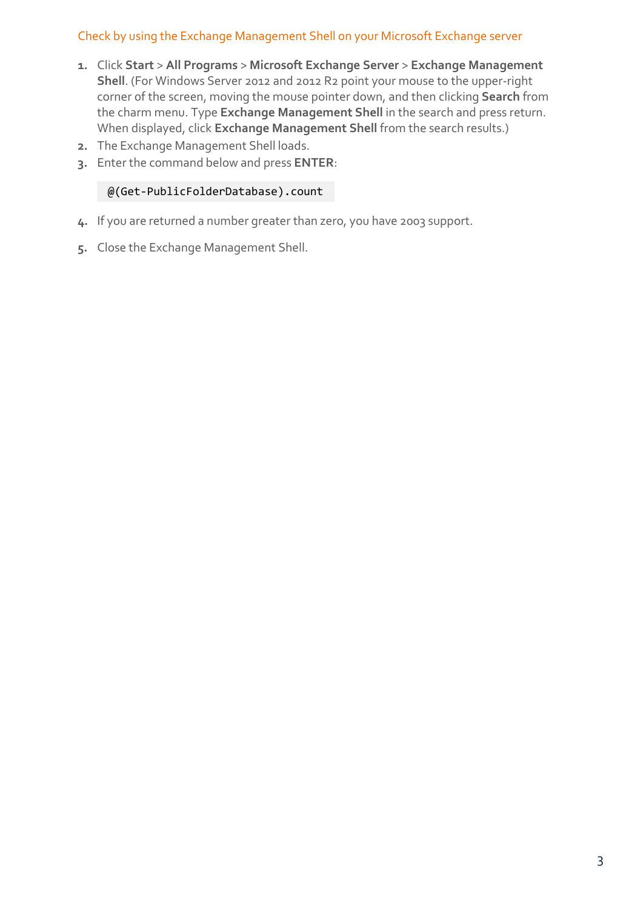#### Check by using the Exchange Management Shell on your Microsoft Exchange server

- **1.** Click **Start** > **All Programs** > **Microsoft Exchange Server** > **Exchange Management Shell**. (For Windows Server 2012 and 2012 R2 point your mouse to the upper-right corner of the screen, moving the mouse pointer down, and then clicking **Search** from the charm menu. Type **Exchange Management Shell** in the search and press return. When displayed, click **Exchange Management Shell** from the search results.)
- **2.** The Exchange Management Shell loads.
- **3.** Enter the command below and press **ENTER**:

#### @(Get-PublicFolderDatabase).count

- **4.** If you are returned a number greater than zero, you have 2003 support.
- **5.** Close the Exchange Management Shell.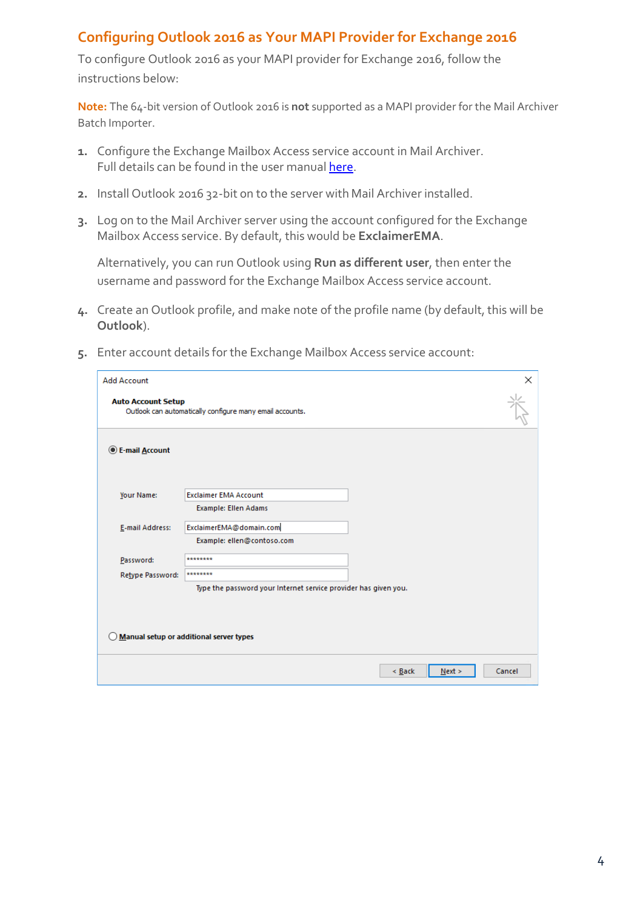### **Configuring Outlook 2016 as Your MAPI Provider for Exchange 2016**

To configure Outlook 2016 as your MAPI provider for Exchange 2016, follow the instructions below:

**Note:** The 64-bit version of Outlook 2016 is **not** supported as a MAPI provider for the Mail Archiver Batch Importer.

- **1.** Configure the Exchange Mailbox Access service account in Mail Archiver. Full details can be found in the user manual [here.](http://user-manuals.exclaimer.com/mail-archiver/latest/Exchange_Mailbox_Configuration_%28Standard%29.htm)
- **2.** Install Outlook 2016 32-bit on to the server with Mail Archiver installed.
- <span id="page-3-0"></span>**3.** Log on to the Mail Archiver server using the account configured for the Exchange Mailbox Access service. By default, this would be **ExclaimerEMA**.

Alternatively, you can run Outlook using **Run as different user**, then enter the username and password for the Exchange Mailbox Access service account.

- 4. Create an Outlook profile, and make note of the profile name (by default, this will be **Outlook**).
- **5.** Enter account details for the Exchange Mailbox Access service account:

| <b>Add Account</b>        |                                                                 |             |                | $\times$ |
|---------------------------|-----------------------------------------------------------------|-------------|----------------|----------|
| <b>Auto Account Setup</b> | Outlook can automatically configure many email accounts.        |             |                |          |
| <b>E-mail Account</b>     |                                                                 |             |                |          |
|                           |                                                                 |             |                |          |
| Your Name:                | <b>Exclaimer EMA Account</b>                                    |             |                |          |
|                           | <b>Example: Ellen Adams</b>                                     |             |                |          |
| E-mail Address:           | ExclaimerEMA@domain.com                                         |             |                |          |
|                           | Example: ellen@contoso.com                                      |             |                |          |
| Password:                 | ********                                                        |             |                |          |
| Retype Password:          | ********                                                        |             |                |          |
|                           | Type the password your Internet service provider has given you. |             |                |          |
|                           |                                                                 |             |                |          |
|                           |                                                                 |             |                |          |
|                           | Manual setup or additional server types                         |             |                |          |
|                           |                                                                 |             |                |          |
|                           |                                                                 |             |                |          |
|                           |                                                                 | $\leq$ Back | Cancel<br>Next |          |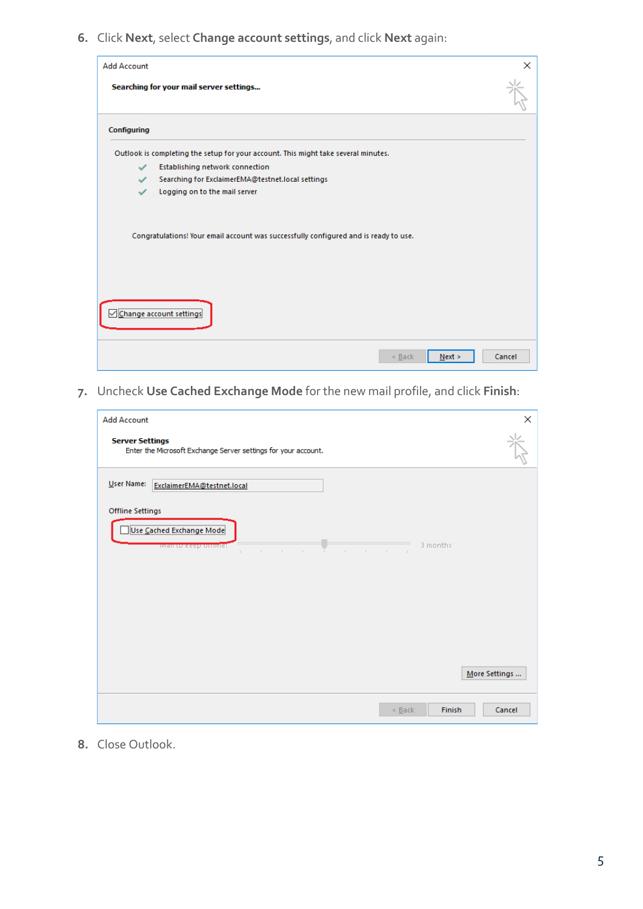**6.** Click **Next**, select **Change account settings**, and click **Next** again:



**7.** Uncheck **Use Cached Exchange Mode** for the new mail profile, and click **Finish**:

| <b>Add Account</b>      |                                                                                   |                                   | $\times$         |
|-------------------------|-----------------------------------------------------------------------------------|-----------------------------------|------------------|
| <b>Server Settings</b>  | Enter the Microsoft Exchange Server settings for your account.                    |                                   |                  |
| User Name:              | ExclaimerEMA@testnet.local                                                        |                                   |                  |
| <b>Offline Settings</b> |                                                                                   |                                   |                  |
|                         | Use Cached Exchange Mode                                                          |                                   |                  |
|                         | <u>IVEIL LUI XEE ALUI III (IE)</u><br>the contract of the con-<br>$\sim$<br>$\pm$ | <b>Contract Contract Contract</b> | 3 months         |
|                         |                                                                                   |                                   |                  |
|                         |                                                                                   |                                   |                  |
|                         |                                                                                   |                                   |                  |
|                         |                                                                                   |                                   |                  |
|                         |                                                                                   |                                   |                  |
|                         |                                                                                   |                                   | More Settings    |
|                         |                                                                                   | $<$ Back                          | Finish<br>Cancel |

**8.** Close Outlook.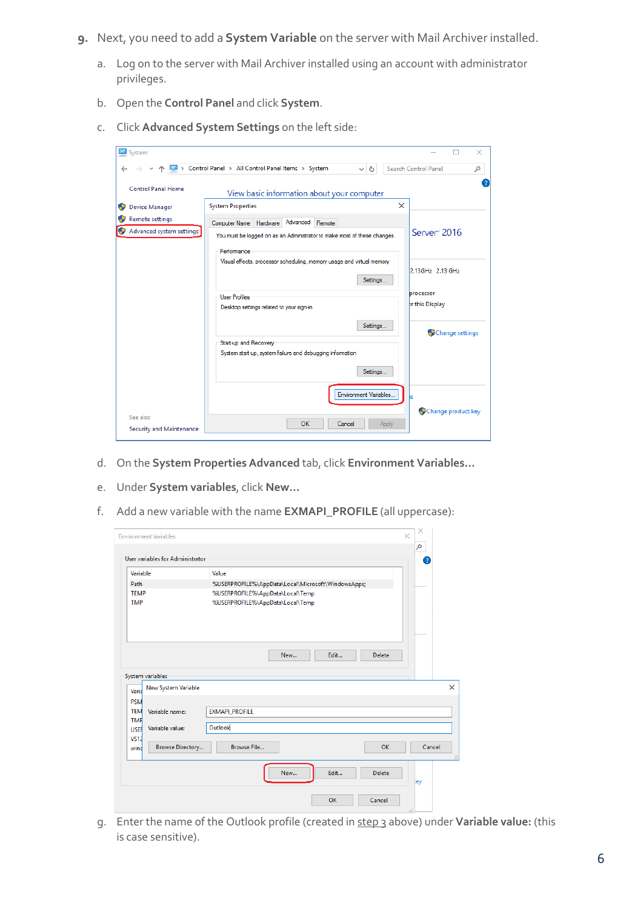- **9.** Next, you need to add a **System Variable** on the server with Mail Archiver installed.
	- a. Log on to the server with Mail Archiver installed using an account with administrator privileges.
	- b. Open the **Control Panel** and click **System**.
	- c. Click **Advanced System Settings** on the left side:

| System                                      |                                                                                         | ×                         |
|---------------------------------------------|-----------------------------------------------------------------------------------------|---------------------------|
|                                             | → v 个 <mark>M</mark> > Control Panel > All Control Panel Items > System<br>√ ⊙          | Search Control Panel<br>۹ |
| <b>Control Panel Home</b>                   | View basic information about your computer                                              | 2                         |
| Device Manager                              | ×<br><b>System Properties</b>                                                           |                           |
| Remote settings<br>Advanced system settings | Computer Name   Hardware   Advanced   Remote                                            | Server <sup>®</sup> 2016  |
|                                             | You must be logged on as an Administrator to make most of these changes.<br>Performance |                           |
|                                             | Visual effects, processor scheduling, memory usage and virtual memory<br>Settings       | 2.13GHz 2.13 GHz          |
|                                             | <b>User Profiles</b>                                                                    | processor                 |
|                                             | Desktop settings related to your sign-in                                                | or this Display           |
|                                             | Settings                                                                                | Change settings           |
|                                             | Start-up and Recovery                                                                   |                           |
|                                             | System start-up, system failure and debugging information                               |                           |
|                                             | Settings                                                                                |                           |
|                                             | Environment Variables                                                                   | ١s<br>Change product key  |
| See also<br>Security and Maintenance        | <b>OK</b><br>Cancel<br>Apply                                                            |                           |

- d. On the **System Properties Advanced** tab, click **Environment Variables…**
- e. Under **System variables**, click **New…**
- f. Add a new variable with the name **EXMAPI\_PROFILE** (all uppercase):

| Variable                                         | Value                                              |        |
|--------------------------------------------------|----------------------------------------------------|--------|
| Path                                             | %USERPROFILE%\AppData\Local\Microsoft\WindowsApps; |        |
| <b>TEMP</b>                                      | %USERPROFILE%\AppData\Local\Temp                   |        |
| <b>TMP</b>                                       | %USERPROFILE%\AppData\Local\Temp                   |        |
|                                                  | Edit<br>New<br><b>Delete</b>                       |        |
| System variables<br>New System Variable<br>Varia |                                                    |        |
| <b>PSM</b>                                       |                                                    |        |
|                                                  | <b>EXMAPI_PROFILE</b>                              |        |
| <b>TEM</b><br>Variable name:                     |                                                    |        |
| <b>TMP</b>                                       |                                                    |        |
| Variable value:<br><b>USEF</b>                   | Outlook                                            |        |
| <b>VS12</b><br><b>Browse Directory</b><br>wind   | <b>Browse File</b><br>OK                           | Cancel |

g. Enter the name of the Outlook profile (created in [step 3](#page-3-0) above) under **Variable value:** (this is case sensitive).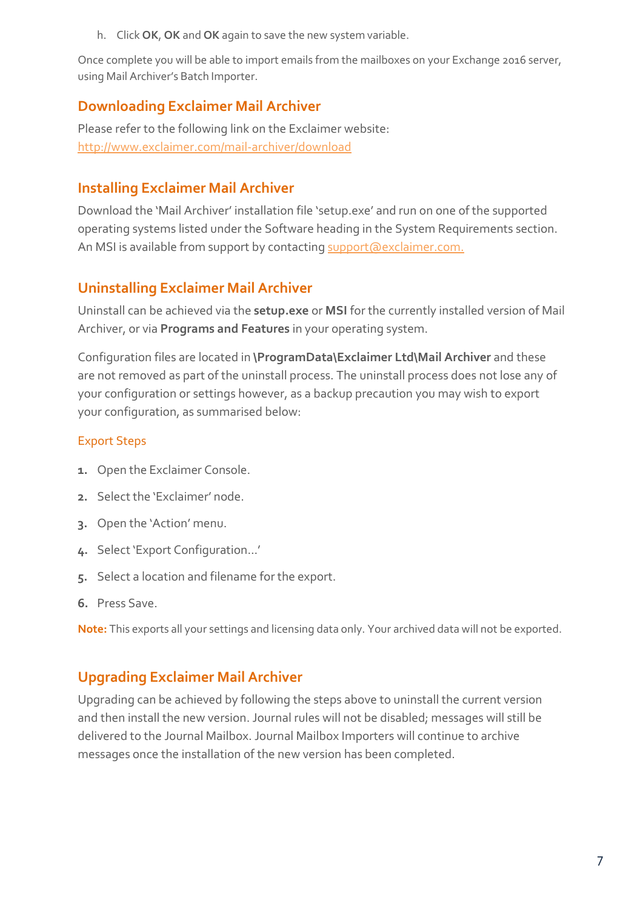h. Click **OK**, **OK** and **OK** again to save the new system variable.

Once complete you will be able to import emails from the mailboxes on your Exchange 2016 server, using Mail Archiver's Batch Importer.

# **Downloading Exclaimer Mail Archiver**

Please refer to the following link on the Exclaimer website: <http://www.exclaimer.com/mail-archiver/download>

#### **Installing Exclaimer Mail Archiver**

Download the 'Mail Archiver' installation file 'setup.exe' and run on one of the supported operating systems listed under the Software heading in the System Requirements section. An MSI is available from support by contactin[g support@exclaimer.com.](mailto:support@exclaimer.com)

# **Uninstalling Exclaimer Mail Archiver**

Uninstall can be achieved via the **setup.exe** or **MSI** for the currently installed version of Mail Archiver, or via **Programs and Features** in your operating system.

Configuration files are located in **\ProgramData\Exclaimer Ltd\Mail Archiver** and these are not removed as part of the uninstall process. The uninstall process does not lose any of your configuration or settings however, as a backup precaution you may wish to export your configuration, as summarised below:

#### Export Steps

- **1.** Open the Exclaimer Console.
- **2.** Select the 'Exclaimer' node.
- **3.** Open the 'Action' menu.
- **4.** Select 'Export Configuration...'
- **5.** Select a location and filename for the export.
- **6.** Press Save.

**Note:** This exports all your settings and licensing data only. Your archived data will not be exported.

# **Upgrading Exclaimer Mail Archiver**

Upgrading can be achieved by following the steps above to uninstall the current version and then install the new version. Journal rules will not be disabled; messages will still be delivered to the Journal Mailbox. Journal Mailbox Importers will continue to archive messages once the installation of the new version has been completed.